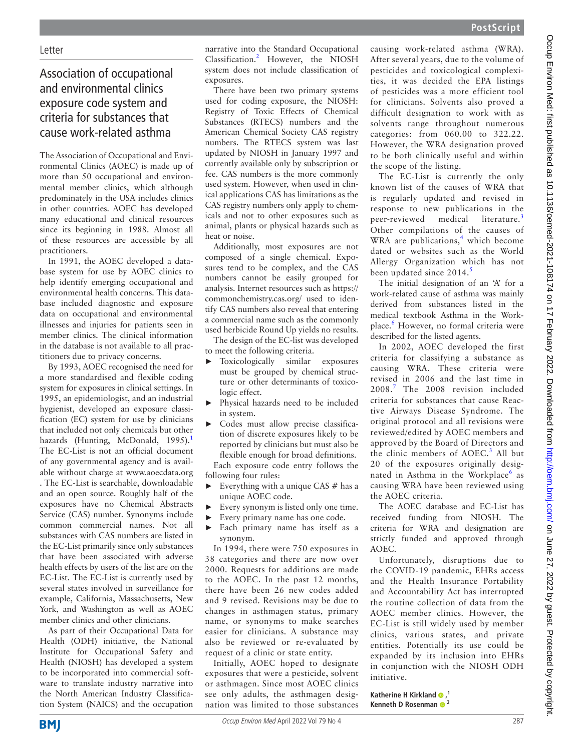## Association of occupational and environmental clinics exposure code system and criteria for substances that cause work-related asthma

The Association of Occupational and Environmental Clinics (AOEC) is made up of more than 50 occupational and environmental member clinics, which although predominately in the USA includes clinics in other countries. AOEC has developed many educational and clinical resources since its beginning in 1988. Almost all of these resources are accessible by all practitioners.

In 1991, the AOEC developed a database system for use by AOEC clinics to help identify emerging occupational and environmental health concerns. This database included diagnostic and exposure data on occupational and environmental illnesses and injuries for patients seen in member clinics. The clinical information in the database is not available to all practitioners due to privacy concerns.

By 1993, AOEC recognised the need for a more standardised and flexible coding system for exposures in clinical settings. In 1995, an epidemiologist, and an industrial hygienist, developed an exposure classification (EC) system for use by clinicians that included not only chemicals but other hazards (Hunting, McDonald, [1](#page-1-0)995).<sup>1</sup> The EC-List is not an official document of any governmental agency and is available without charge at www.aoecdata.org . The EC-List is searchable, downloadable and an open source. Roughly half of the exposures have no Chemical Abstracts Service (CAS) number. Synonyms include common commercial names. Not all substances with CAS numbers are listed in the EC-List primarily since only substances that have been associated with adverse health effects by users of the list are on the EC-List. The EC-List is currently used by several states involved in surveillance for example, California, Massachusetts, New York, and Washington as well as AOEC member clinics and other clinicians.

As part of their Occupational Data for Health (ODH) initiative, the National Institute for Occupational Safety and Health (NIOSH) has developed a system to be incorporated into commercial software to translate industry narrative into the North American Industry Classification System (NAICS) and the occupation

narrative into the Standard Occupational Classification.[2](#page-1-1) However, the NIOSH system does not include classification of exposures.

There have been two primary systems used for coding exposure, the NIOSH: Registry of Toxic Effects of Chemical Substances (RTECS) numbers and the American Chemical Society CAS registry numbers. The RTECS system was last updated by NIOSH in January 1997 and currently available only by subscription or fee. CAS numbers is the more commonly used system. However, when used in clinical applications CAS has limitations as the CAS registry numbers only apply to chemicals and not to other exposures such as animal, plants or physical hazards such as heat or noise.

Additionally, most exposures are not composed of a single chemical. Exposures tend to be complex, and the CAS numbers cannot be easily grouped for analysis. Internet resources such as [https://](https://commonchemistry.cas.org/) [commonchemistry.cas.org/](https://commonchemistry.cas.org/) used to identify CAS numbers also reveal that entering a commercial name such as the commonly used herbicide Round Up yields no results.

The design of the EC-list was developed to meet the following criteria.

- ► Toxicologically similar exposures must be grouped by chemical structure or other determinants of toxicologic effect.
- ► Physical hazards need to be included in system.
- ► Codes must allow precise classification of discrete exposures likely to be reported by clinicians but must also be flexible enough for broad definitions.

Each exposure code entry follows the following four rules:

- $\triangleright$  Everything with a unique CAS # has a unique AOEC code.
- ► Every synonym is listed only one time.
- ► Every primary name has one code.
- ► Each primary name has itself as a synonym.

In 1994, there were 750 exposures in 38 categories and there are now over 2000. Requests for additions are made to the AOEC. In the past 12 months, there have been 26 new codes added and 9 revised. Revisions may be due to changes in asthmagen status, primary name, or synonyms to make searches easier for clinicians. A substance may also be reviewed or re-evaluated by request of a clinic or state entity.

Initially, AOEC hoped to designate exposures that were a pesticide, solvent or asthmagen. Since most AOEC clinics see only adults, the asthmagen designation was limited to those substances

causing work-related asthma (WRA). After several years, due to the volume of pesticides and toxicological complexities, it was decided the EPA listings of pesticides was a more efficient tool for clinicians. Solvents also proved a difficult designation to work with as solvents range throughout numerous categories: from 060.00 to 322.22. However, the WRA designation proved to be both clinically useful and within the scope of the listing.

The EC-List is currently the only known list of the causes of WRA that is regularly updated and revised in response to new publications in the peer-reviewed medical literature.[3](#page-1-2) Other compilations of the causes of WRA are publications,<sup>[4](#page-1-3)</sup> which become dated or websites such as the World Allergy Organization which has not been updated since  $2014<sup>5</sup>$  $2014<sup>5</sup>$  $2014<sup>5</sup>$ 

The initial designation of an 'A' for a work-related cause of asthma was mainly derived from substances listed in the medical textbook Asthma in the Work-place.<sup>[6](#page-1-5)</sup> However, no formal criteria were described for the listed agents.

In 2002, AOEC developed the first criteria for classifying a substance as causing WRA. These criteria were revised in 2006 and the last time in 2008.[7](#page-1-6) The 2008 revision included criteria for substances that cause Reactive Airways Disease Syndrome. The original protocol and all revisions were reviewed/edited by AOEC members and approved by the Board of Directors and the clinic members of AOEC.<sup>[3](#page-1-2)</sup> All but 20 of the exposures originally desig-nated in Asthma in the Workplace<sup>[6](#page-1-5)</sup> as causing WRA have been reviewed using the AOEC criteria.

The AOEC database and EC-List has received funding from NIOSH. The criteria for WRA and designation are strictly funded and approved through AOEC.

Unfortunately, disruptions due to the COVID-19 pandemic, EHRs access and the Health Insurance Portability and Accountability Act has interrupted the routine collection of data from the AOEC member clinics. However, the EC-List is still widely used by member clinics, various states, and private entities. Potentially its use could be expanded by its inclusion into EHRs in conjunction with the NIOSH ODH initiative.

Katherine H Kirkland <sup>0</sup>,<sup>1</sup> **Kenneth D Rosenman <sup>2</sup>**